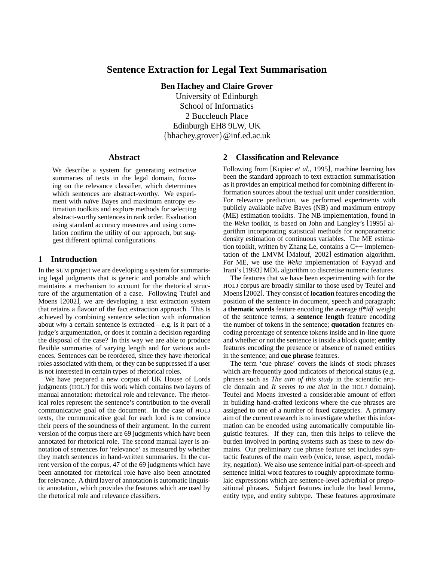# **Sentence Extraction for Legal Text Summarisation**

**Ben Hachey and Claire Grover**

University of Edinburgh School of Informatics 2 Buccleuch Place Edinburgh EH8 9LW, UK {bhachey,grover}@inf.ed.ac.uk

#### **Abstract**

We describe a system for generating extractive summaries of texts in the legal domain, focusing on the relevance classifier, which determines which sentences are abstract-worthy. We experiment with naïve Bayes and maximum entropy estimation toolkits and explore methods for selecting abstract-worthy sentences in rank order. Evaluation using standard accuracy measures and using correlation confirm the utility of our approach, but suggest different optimal configurations.

#### **1 Introduction**

In the SUM project we are developing a system for summarising legal judgments that is generic and portable and which maintains a mechanism to account for the rhetorical structure of the argumentation of a case. Following Teufel and Moens [2002], we are developing a text extraction system that retains a flavour of the fact extraction approach. This is achieved by combining sentence selection with information about *why* a certain sentence is extracted—e.g. is it part of a judge's argumentation, or does it contain a decision regarding the disposal of the case? In this way we are able to produce flexible summaries of varying length and for various audiences. Sentences can be reordered, since they have rhetorical roles associated with them, or they can be suppressed if a user is not interested in certain types of rhetorical roles.

We have prepared a new corpus of UK House of Lords judgments (HOLJ) for this work which contains two layers of manual annotation: rhetorical role and relevance. The rhetorical roles represent the sentence's contribution to the overall communicative goal of the document. In the case of HOLJ texts, the communicative goal for each lord is to convince their peers of the soundness of their argument. In the current version of the corpus there are 69 judgments which have been annotated for rhetorical role. The second manual layer is annotation of sentences for 'relevance' as measured by whether they match sentences in hand-written summaries. In the current version of the corpus, 47 of the 69 judgments which have been annotated for rhetorical role have also been annotated for relevance. A third layer of annotation is automatic linguistic annotation, which provides the features which are used by the rhetorical role and relevance classifiers.

### **2 Classification and Relevance**

Following from [Kupiec *et al.*, 1995], machine learning has been the standard approach to text extraction summarisation as it provides an empirical method for combining different information sources about the textual unit under consideration. For relevance prediction, we performed experiments with publicly available naïve Bayes (NB) and maximum entropy (ME) estimation toolkits. The NB implementation, found in the *Weka* toolkit, is based on John and Langley's [1995] algorithm incorporating statistical methods for nonparametric density estimation of continuous variables. The ME estimation toolkit, written by Zhang Le, contains a C++ implementation of the LMVM [Malouf, 2002] estimation algorithm. For ME, we use the *Weka* implementation of Fayyad and Irani's [1993] MDL algorithm to discretise numeric features.

The features that we have been experimenting with for the HOLJ corpus are broadly similar to those used by Teufel and Moens [2002]. They consist of **location** features encoding the position of the sentence in document, speech and paragraph; a **thematic words** feature encoding the average *tf\*idf* weight of the sentence terms; a **sentence length** feature encoding the number of tokens in the sentence; **quotation** features encoding percentage of sentence tokens inside and in-line quote and whether or not the sentence is inside a block quote; **entity** features encoding the presence or absence of named entities in the sentence; and **cue phrase** features.

The term 'cue phrase' covers the kinds of stock phrases which are frequently good indicators of rhetorical status (e.g. phrases such as *The aim of this study* in the scientific article domain and *It seems to me that* in the HOLJ domain). Teufel and Moens invested a considerable amount of effort in building hand-crafted lexicons where the cue phrases are assigned to one of a number of fixed categories. A primary aim of the current research is to investigate whether this information can be encoded using automatically computable linguistic features. If they can, then this helps to relieve the burden involved in porting systems such as these to new domains. Our preliminary cue phrase feature set includes syntactic features of the main verb (voice, tense, aspect, modality, negation). We also use sentence initial part-of-speech and sentence initial word features to roughly approximate formulaic expressions which are sentence-level adverbial or prepositional phrases. Subject features include the head lemma, entity type, and entity subtype. These features approximate